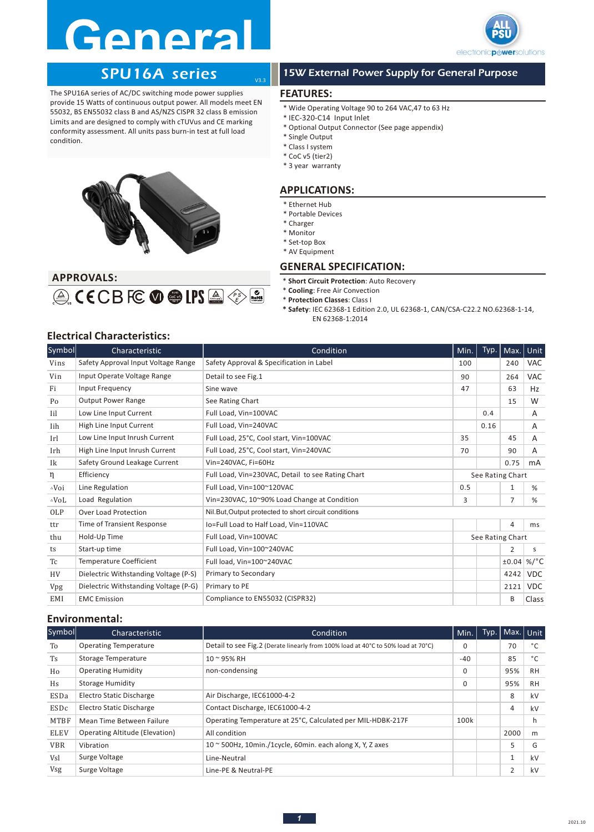# **General**



## SPU16A series

The SPU16A series of AC/DC switching mode power supplies provide 15 Watts of continuous output power. All models meet EN 55032, BS EN55032 class B and AS/NZS CISPR 32 class B emission Limits and are designed to comply with cTUVus and CE marking conformity assessment. All units pass burn-in test at full load condition.



 $\textcircled{\tiny{\textcircled{\tiny{\#}}}}$  (ECB FC  $\textcircled{\tiny{\textcircled{\tiny{\#}}}}$  LPS  $\textcircled{\tiny{\textcircled{\tiny{\#}}}}$ 

## 15W External Power Supply for General Purpose

### **FEATURES:**

V3.3

- \* Wide Operating Voltage 90 to 264 VAC,47 to 63 Hz
- \* IEC-320-C14 Input Inlet
- \* Optional Output Connector (See page appendix)
- \* Single Output
- \* Class I system
- \* CoC v5 (tier2)
- \* 3 year warranty

### **APPLICATIONS:**

- \* Ethernet Hub
- \* Portable Devices
- \* Charger
- \* Monitor
- \* Set-top Box
- \* AV Equipment

### **GENERAL SPECIFICATION:**

- \* **Short Circuit Protection**: Auto Recovery
- \* **Cooling**: Free Air Convection
- \* **Protection Classes**: Class I
- **\* Safety**: IEC 62368-1 Edition 2.0, UL 62368-1, CAN/CSA-C22.2 NO.62368-1-14, EN 62368-1:2014

### **Electrical Characteristics:**

**APPROVALS:** 

| Symbol          | Characteristic                        | Condition                                              | Min.             | Typ. | Max.           | Unit            |  |
|-----------------|---------------------------------------|--------------------------------------------------------|------------------|------|----------------|-----------------|--|
| Vins            | Safety Approval Input Voltage Range   | Safety Approval & Specification in Label               | 100              |      | 240            | <b>VAC</b>      |  |
| Vin             | Input Operate Voltage Range           | Detail to see Fig.1                                    | 90               |      | 264            | <b>VAC</b>      |  |
| Fi              | Input Frequency                       | Sine wave                                              | 47               |      | 63             | Hz              |  |
| Po              | <b>Output Power Range</b>             | See Rating Chart                                       |                  |      | 15             | W               |  |
| Iil             | Low Line Input Current                | Full Load. Vin=100VAC                                  |                  | 0.4  |                | A               |  |
| Iih             | High Line Input Current               | Full Load, Vin=240VAC                                  |                  | 0.16 |                | A               |  |
| Irl             | Low Line Input Inrush Current         | Full Load, 25°C, Cool start, Vin=100VAC                | 35               |      | 45             | A               |  |
| Irh             | High Line Input Inrush Current        | Full Load, 25°C, Cool start, Vin=240VAC                | 70               |      | 90             | A               |  |
| Ik              | Safety Ground Leakage Current         | Vin=240VAC, Fi=60Hz                                    |                  |      | 0.75           | mA              |  |
| η               | Efficiency                            | Full Load, Vin=230VAC, Detail to see Rating Chart      | See Rating Chart |      |                |                 |  |
| ∆Voi            | Line Regulation                       | Full Load, Vin=100~120VAC<br>0.5                       |                  |      | 1              | %               |  |
| $\triangle$ VoL | Load Regulation                       | Vin=230VAC, 10~90% Load Change at Condition            | 3                |      | $\overline{7}$ | %               |  |
| OLP             | <b>Over Load Protection</b>           | Nil. But, Output protected to short circuit conditions |                  |      |                |                 |  |
| ttr             | Time of Transient Response            | Io=Full Load to Half Load, Vin=110VAC                  |                  |      | 4              | ms              |  |
| thu             | Hold-Up Time                          | Full Load, Vin=100VAC                                  | See Rating Chart |      |                |                 |  |
| ts              | Start-up time                         | Full Load, Vin=100~240VAC                              |                  |      | $\overline{2}$ | S               |  |
| Tc              | <b>Temperature Coefficient</b>        | Full load, Vin=100~240VAC                              |                  |      | ±0.04          | %/ $^{\circ}$ C |  |
| HV              | Dielectric Withstanding Voltage (P-S) | Primary to Secondary                                   |                  |      | 4242           | <b>VDC</b>      |  |
| Vpg             | Dielectric Withstanding Voltage (P-G) | Primary to PE                                          |                  |      | 2121           | <b>VDC</b>      |  |
| EMI             | <b>EMC</b> Emission                   | Compliance to EN55032 (CISPR32)                        |                  |      | B              | Class           |  |

### **Environmental:**

| Symbol      | Characteristic                        | Condition                                                                        | Min.     | Typ. | Max. Unit      |           |
|-------------|---------------------------------------|----------------------------------------------------------------------------------|----------|------|----------------|-----------|
| To          | <b>Operating Temperature</b>          | Detail to see Fig.2 (Derate linearly from 100% load at 40°C to 50% load at 70°C) | $\Omega$ |      | 70             | °C        |
| <b>Ts</b>   | Storage Temperature                   | 10 ~ 95% RH                                                                      | $-40$    |      | 85             | °C        |
| Ho          | <b>Operating Humidity</b>             | non-condensing                                                                   | 0        |      | 95%            | <b>RH</b> |
| Hs          | Storage Humidity                      |                                                                                  | $\Omega$ |      | 95%            | <b>RH</b> |
| ESDa        | Electro Static Discharge              | Air Discharge, IEC61000-4-2                                                      |          |      | 8              | kV        |
| ESDc        | Electro Static Discharge              | Contact Discharge, IEC61000-4-2                                                  |          |      | 4              | kV        |
| MTBF        | Mean Time Between Failure             | Operating Temperature at 25°C, Calculated per MIL-HDBK-217F                      | 100k     |      |                | h.        |
| <b>ELEV</b> | <b>Operating Altitude (Elevation)</b> | All condition                                                                    |          |      | 2000           | m         |
| <b>VBR</b>  | Vibration                             | $10 \approx 500$ Hz, 10min./1cycle, 60min. each along X, Y, Z axes               |          |      |                | G         |
| Vsl         | Surge Voltage                         | Line-Neutral                                                                     |          |      | 1              | kV        |
| Vsg         | Surge Voltage                         | Line-PE & Neutral-PE                                                             |          |      | $\overline{2}$ | kV        |